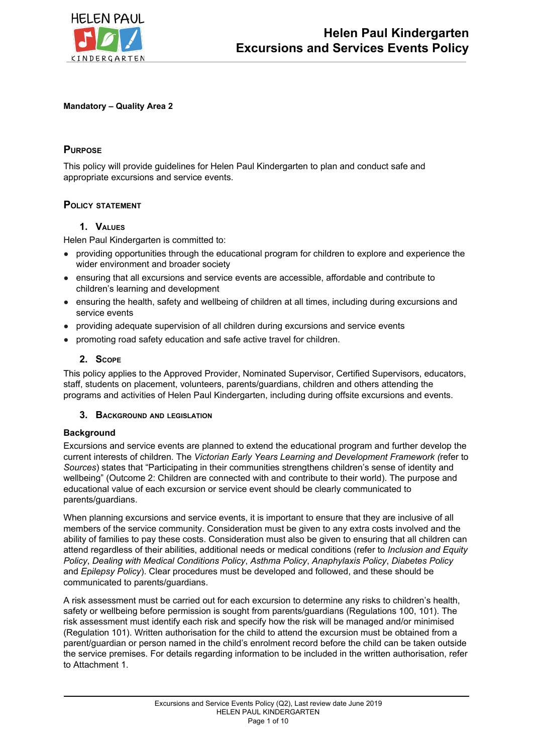

### **Mandatory – Quality Area 2**

## **PURPOSE**

This policy will provide guidelines for Helen Paul Kindergarten to plan and conduct safe and appropriate excursions and service events.

## **POLICY STATEMENT**

## **1. VALUES**

Helen Paul Kindergarten is committed to:

- providing opportunities through the educational program for children to explore and experience the wider environment and broader society
- ensuring that all excursions and service events are accessible, affordable and contribute to children's learning and development
- ensuring the health, safety and wellbeing of children at all times, including during excursions and service events
- providing adequate supervision of all children during excursions and service events
- promoting road safety education and safe active travel for children.

## **2. SCOPE**

This policy applies to the Approved Provider, Nominated Supervisor, Certified Supervisors, educators, staff, students on placement, volunteers, parents/guardians, children and others attending the programs and activities of Helen Paul Kindergarten, including during offsite excursions and events.

### **3. BACKGROUND AND LEGISLATION**

### **Background**

Excursions and service events are planned to extend the educational program and further develop the current interests of children. The *Victorian Early Years Learning and Development Framework (*refer to *Sources*) states that "Participating in their communities strengthens children's sense of identity and wellbeing" (Outcome 2: Children are connected with and contribute to their world). The purpose and educational value of each excursion or service event should be clearly communicated to parents/guardians.

When planning excursions and service events, it is important to ensure that they are inclusive of all members of the service community. Consideration must be given to any extra costs involved and the ability of families to pay these costs. Consideration must also be given to ensuring that all children can attend regardless of their abilities, additional needs or medical conditions (refer to *Inclusion and Equity Policy*, *Dealing with Medical Conditions Policy*, *Asthma Policy*, *Anaphylaxis Policy*, *Diabetes Policy* and *Epilepsy Policy*). Clear procedures must be developed and followed, and these should be communicated to parents/guardians.

A risk assessment must be carried out for each excursion to determine any risks to children's health, safety or wellbeing before permission is sought from parents/guardians (Regulations 100, 101). The risk assessment must identify each risk and specify how the risk will be managed and/or minimised (Regulation 101). Written authorisation for the child to attend the excursion must be obtained from a parent/guardian or person named in the child's enrolment record before the child can be taken outside the service premises. For details regarding information to be included in the written authorisation, refer to Attachment 1.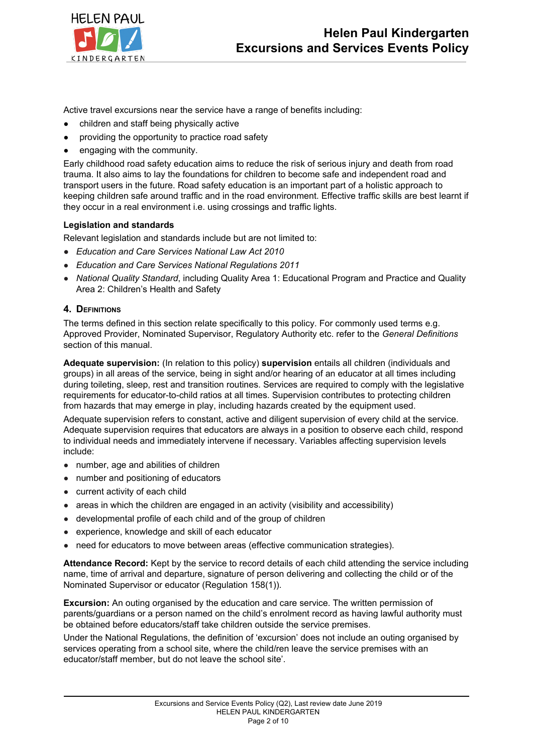

Active travel excursions near the service have a range of benefits including:

- children and staff being physically active
- providing the opportunity to practice road safety
- engaging with the community.

Early childhood road safety education aims to reduce the risk of serious injury and death from road trauma. It also aims to lay the foundations for children to become safe and independent road and transport users in the future. Road safety education is an important part of a holistic approach to keeping children safe around traffic and in the road environment. Effective traffic skills are best learnt if they occur in a real environment i.e. using crossings and traffic lights.

## **Legislation and standards**

Relevant legislation and standards include but are not limited to:

- *● Education and Care Services National Law Act 2010*
- *Education and Care Services National Regulations 2011*
- *National Quality Standard*, including Quality Area 1: Educational Program and Practice and Quality Area 2: Children's Health and Safety

## **4. DEFINITIONS**

The terms defined in this section relate specifically to this policy. For commonly used terms e.g. Approved Provider, Nominated Supervisor, Regulatory Authority etc. refer to the *General Definitions* section of this manual.

**Adequate supervision:** (In relation to this policy) **supervision** entails all children (individuals and groups) in all areas of the service, being in sight and/or hearing of an educator at all times including during toileting, sleep, rest and transition routines. Services are required to comply with the legislative requirements for educator-to-child ratios at all times. Supervision contributes to protecting children from hazards that may emerge in play, including hazards created by the equipment used.

Adequate supervision refers to constant, active and diligent supervision of every child at the service. Adequate supervision requires that educators are always in a position to observe each child, respond to individual needs and immediately intervene if necessary. Variables affecting supervision levels include:

- number, age and abilities of children
- number and positioning of educators
- current activity of each child
- areas in which the children are engaged in an activity (visibility and accessibility)
- developmental profile of each child and of the group of children
- experience, knowledge and skill of each educator
- need for educators to move between areas (effective communication strategies).

**Attendance Record:** Kept by the service to record details of each child attending the service including name, time of arrival and departure, signature of person delivering and collecting the child or of the Nominated Supervisor or educator (Regulation 158(1)).

**Excursion:** An outing organised by the education and care service. The written permission of parents/guardians or a person named on the child's enrolment record as having lawful authority must be obtained before educators/staff take children outside the service premises.

Under the National Regulations, the definition of 'excursion' does not include an outing organised by services operating from a school site, where the child/ren leave the service premises with an educator/staff member, but do not leave the school site'.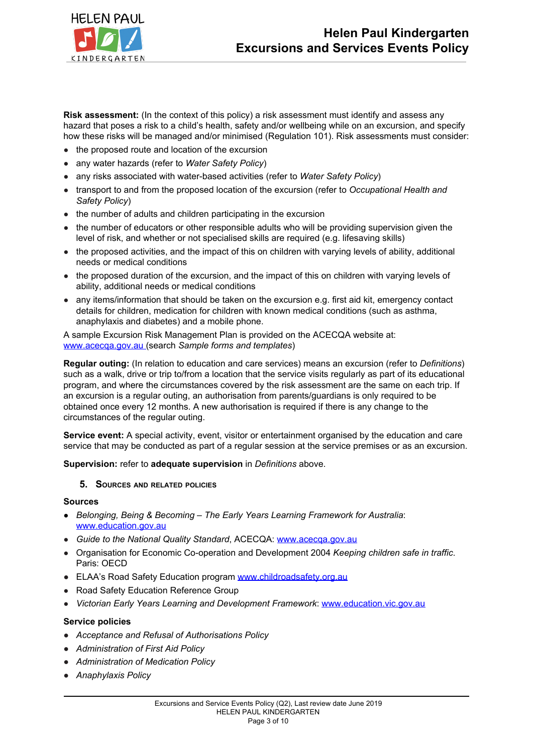

**Risk assessment:** (In the context of this policy) a risk assessment must identify and assess any hazard that poses a risk to a child's health, safety and/or wellbeing while on an excursion, and specify how these risks will be managed and/or minimised (Regulation 101). Risk assessments must consider:

- the proposed route and location of the excursion
- any water hazards (refer to *Water Safety Policy*)
- any risks associated with water-based activities (refer to *Water Safety Policy*)
- transport to and from the proposed location of the excursion (refer to *Occupational Health and Safety Policy*)
- the number of adults and children participating in the excursion
- the number of educators or other responsible adults who will be providing supervision given the level of risk, and whether or not specialised skills are required (e.g. lifesaving skills)
- the proposed activities, and the impact of this on children with varying levels of ability, additional needs or medical conditions
- the proposed duration of the excursion, and the impact of this on children with varying levels of ability, additional needs or medical conditions
- any items/information that should be taken on the excursion e.g. first aid kit, emergency contact details for children, medication for children with known medical conditions (such as asthma, anaphylaxis and diabetes) and a mobile phone.

A sample Excursion Risk Management Plan is provided on the ACECQA website at: [www.acecqa.gov.au](http://www.acecqa.gov.au/) (search *Sample forms and templates*)

**Regular outing:** (In relation to education and care services) means an excursion (refer to *Definitions*) such as a walk, drive or trip to/from a location that the service visits regularly as part of its educational program, and where the circumstances covered by the risk assessment are the same on each trip. If an excursion is a regular outing, an authorisation from parents/guardians is only required to be obtained once every 12 months. A new authorisation is required if there is any change to the circumstances of the regular outing.

**Service event:** A special activity, event, visitor or entertainment organised by the education and care service that may be conducted as part of a regular session at the service premises or as an excursion.

**Supervision:** refer to **adequate supervision** in *Definitions* above.

### **5. SOURCES AND RELATED POLICIES**

### **Sources**

- *Belonging, Being & Becoming – The Early Years Learning Framework for Australia*: [www.education.gov.au](https://www.education.gov.au/)
- *Guide to the National Quality Standard*, ACECQA: [www.acecqa.gov.au](http://www.acecqa.gov.au/)
- Organisation for Economic Co-operation and Development 2004 *Keeping children safe in traffic*. Paris: OECD
- *●* ELAA's Road Safety Education program [www.childroadsafety.org.au](http://childroadsafety.org.au/)
- Road Safety Education Reference Group
- *Victorian Early Years Learning and Development Framework*: [www.education.vic.gov.au](http://www.education.vic.gov.au/Pages/default.aspx)

### **Service policies**

- *● Acceptance and Refusal of Authorisations Policy*
- *● Administration of First Aid Policy*
- *● Administration of Medication Policy*
- *● Anaphylaxis Policy*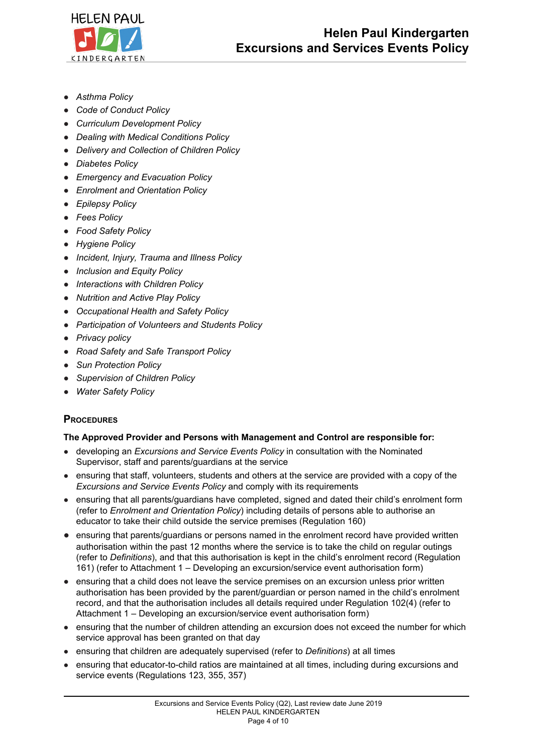

- *● Asthma Policy*
- *● Code of Conduct Policy*
- *● Curriculum Development Policy*
- *● Dealing with Medical Conditions Policy*
- *● Delivery and Collection of Children Policy*
- *● Diabetes Policy*
- *● Emergency and Evacuation Policy*
- *● Enrolment and Orientation Policy*
- *● Epilepsy Policy*
- *● Fees Policy*
- *● Food Safety Policy*
- *● Hygiene Policy*
- *● Incident, Injury, Trauma and Illness Policy*
- *● Inclusion and Equity Policy*
- *● Interactions with Children Policy*
- *● Nutrition and Active Play Policy*
- *● Occupational Health and Safety Policy*
- *● Participation of Volunteers and Students Policy*
- *● Privacy policy*
- *● Road Safety and Safe Transport Policy*
- *● Sun Protection Policy*
- *● Supervision of Children Policy*
- *● Water Safety Policy*

## **PROCEDURES**

## **The Approved Provider and Persons with Management and Control are responsible for:**

- developing an *Excursions and Service Events Policy* in consultation with the Nominated Supervisor, staff and parents/guardians at the service
- ensuring that staff, volunteers, students and others at the service are provided with a copy of the *Excursions and Service Events Policy* and comply with its requirements
- ensuring that all parents/guardians have completed, signed and dated their child's enrolment form (refer to *Enrolment and Orientation Policy*) including details of persons able to authorise an educator to take their child outside the service premises (Regulation 160)
- ensuring that parents/guardians or persons named in the enrolment record have provided written authorisation within the past 12 months where the service is to take the child on regular outings (refer to *Definitions*), and that this authorisation is kept in the child's enrolment record (Regulation 161) (refer to Attachment 1 – Developing an excursion/service event authorisation form)
- ensuring that a child does not leave the service premises on an excursion unless prior written authorisation has been provided by the parent/guardian or person named in the child's enrolment record, and that the authorisation includes all details required under Regulation 102(4) (refer to Attachment 1 – Developing an excursion/service event authorisation form)
- ensuring that the number of children attending an excursion does not exceed the number for which service approval has been granted on that day
- ensuring that children are adequately supervised (refer to *Definitions*) at all times
- ensuring that educator-to-child ratios are maintained at all times, including during excursions and service events (Regulations 123, 355, 357)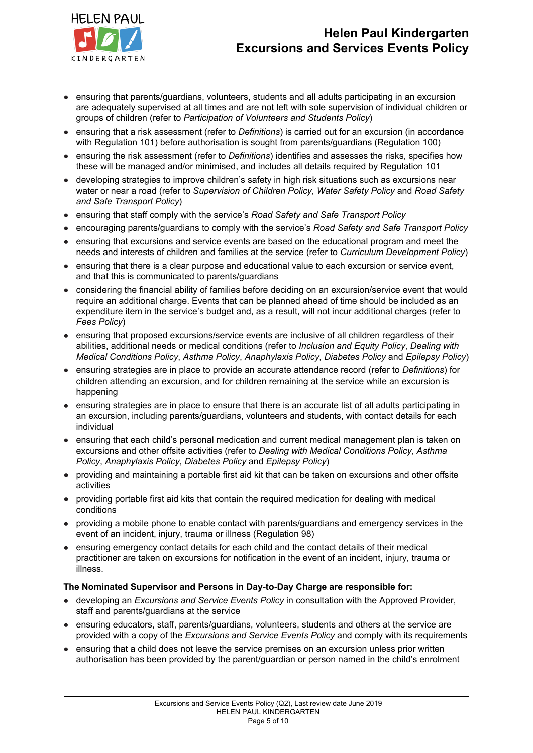

- ensuring that parents/guardians, volunteers, students and all adults participating in an excursion are adequately supervised at all times and are not left with sole supervision of individual children or groups of children (refer to *Participation of Volunteers and Students Policy*)
- ensuring that a risk assessment (refer to *Definitions*) is carried out for an excursion (in accordance with Regulation 101) before authorisation is sought from parents/guardians (Regulation 100)
- ensuring the risk assessment (refer to *Definitions*) identifies and assesses the risks, specifies how these will be managed and/or minimised, and includes all details required by Regulation 101
- developing strategies to improve children's safety in high risk situations such as excursions near water or near a road (refer to *Supervision of Children Policy*, *Water Safety Policy* and *Road Safety and Safe Transport Policy*)
- ensuring that staff comply with the service's *Road Safety and Safe Transport Policy*
- encouraging parents/guardians to comply with the service's *Road Safety and Safe Transport Policy*
- ensuring that excursions and service events are based on the educational program and meet the needs and interests of children and families at the service (refer to *Curriculum Development Policy*)
- ensuring that there is a clear purpose and educational value to each excursion or service event, and that this is communicated to parents/guardians
- considering the financial ability of families before deciding on an excursion/service event that would require an additional charge. Events that can be planned ahead of time should be included as an expenditure item in the service's budget and, as a result, will not incur additional charges (refer to *Fees Policy*)
- ensuring that proposed excursions/service events are inclusive of all children regardless of their abilities, additional needs or medical conditions (refer to *Inclusion and Equity Policy*, *Dealing with Medical Conditions Policy*, *Asthma Policy*, *Anaphylaxis Policy*, *Diabetes Policy* and *Epilepsy Policy*)
- ensuring strategies are in place to provide an accurate attendance record (refer to *Definitions*) for children attending an excursion, and for children remaining at the service while an excursion is happening
- ensuring strategies are in place to ensure that there is an accurate list of all adults participating in an excursion, including parents/guardians, volunteers and students, with contact details for each individual
- ensuring that each child's personal medication and current medical management plan is taken on excursions and other offsite activities (refer to *Dealing with Medical Conditions Policy*, *Asthma Policy*, *Anaphylaxis Policy*, *Diabetes Policy* and *Epilepsy Policy*)
- providing and maintaining a portable first aid kit that can be taken on excursions and other offsite activities
- **●** providing portable first aid kits that contain the required medication for dealing with medical conditions
- providing a mobile phone to enable contact with parents/guardians and emergency services in the event of an incident, injury, trauma or illness (Regulation 98)
- ensuring emergency contact details for each child and the contact details of their medical practitioner are taken on excursions for notification in the event of an incident, injury, trauma or illness.

## **The Nominated Supervisor and Persons in Day-to-Day Charge are responsible for:**

- developing an *Excursions and Service Events Policy* in consultation with the Approved Provider, staff and parents/guardians at the service
- ensuring educators, staff, parents/guardians, volunteers, students and others at the service are provided with a copy of the *Excursions and Service Events Policy* and comply with its requirements
- ensuring that a child does not leave the service premises on an excursion unless prior written authorisation has been provided by the parent/guardian or person named in the child's enrolment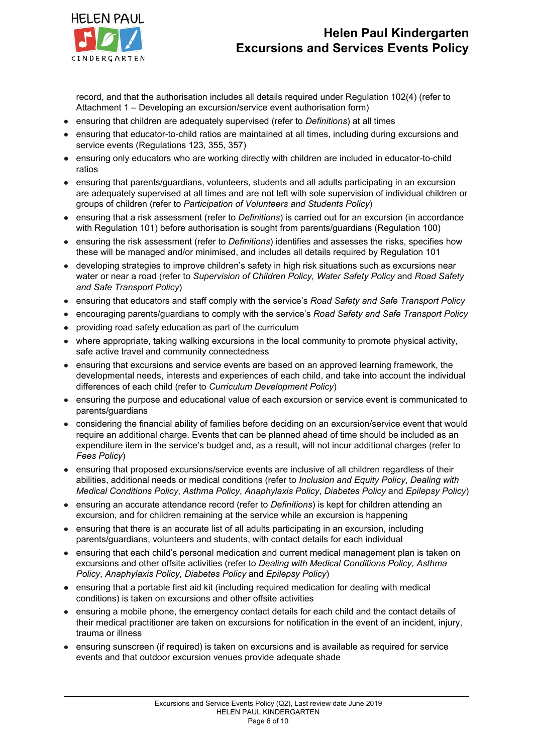

record, and that the authorisation includes all details required under Regulation 102(4) (refer to Attachment 1 – Developing an excursion/service event authorisation form)

- ensuring that children are adequately supervised (refer to *Definitions*) at all times
- ensuring that educator-to-child ratios are maintained at all times, including during excursions and service events (Regulations 123, 355, 357)
- ensuring only educators who are working directly with children are included in educator-to-child ratios
- ensuring that parents/guardians, volunteers, students and all adults participating in an excursion are adequately supervised at all times and are not left with sole supervision of individual children or groups of children (refer to *Participation of Volunteers and Students Policy*)
- ensuring that a risk assessment (refer to *Definitions*) is carried out for an excursion (in accordance with Regulation 101) before authorisation is sought from parents/guardians (Regulation 100)
- ensuring the risk assessment (refer to *Definitions*) identifies and assesses the risks, specifies how these will be managed and/or minimised, and includes all details required by Regulation 101
- developing strategies to improve children's safety in high risk situations such as excursions near water or near a road (refer to *Supervision of Children Policy, Water Safety Policy* and *Road Safety and Safe Transport Policy*)
- ensuring that educators and staff comply with the service's *Road Safety and Safe Transport Policy*
- encouraging parents/guardians to comply with the service's *Road Safety and Safe Transport Policy*
- providing road safety education as part of the curriculum
- where appropriate, taking walking excursions in the local community to promote physical activity, safe active travel and community connectedness
- ensuring that excursions and service events are based on an approved learning framework, the developmental needs, interests and experiences of each child, and take into account the individual differences of each child (refer to *Curriculum Development Policy*)
- ensuring the purpose and educational value of each excursion or service event is communicated to parents/guardians
- considering the financial ability of families before deciding on an excursion/service event that would require an additional charge. Events that can be planned ahead of time should be included as an expenditure item in the service's budget and, as a result, will not incur additional charges (refer to *Fees Policy*)
- ensuring that proposed excursions/service events are inclusive of all children regardless of their abilities, additional needs or medical conditions (refer to *Inclusion and Equity Policy*, *Dealing with Medical Conditions Policy*, *Asthma Policy*, *Anaphylaxis Policy*, *Diabetes Policy* and *Epilepsy Policy*)
- ensuring an accurate attendance record (refer to *Definitions*) is kept for children attending an excursion, and for children remaining at the service while an excursion is happening
- ensuring that there is an accurate list of all adults participating in an excursion, including parents/guardians, volunteers and students, with contact details for each individual
- ensuring that each child's personal medication and current medical management plan is taken on excursions and other offsite activities (refer to *Dealing with Medical Conditions Policy, Asthma Policy*, *Anaphylaxis Policy*, *Diabetes Policy* and *Epilepsy Policy*)
- ensuring that a portable first aid kit (including required medication for dealing with medical conditions) is taken on excursions and other offsite activities
- ensuring a mobile phone, the emergency contact details for each child and the contact details of their medical practitioner are taken on excursions for notification in the event of an incident, injury, trauma or illness
- ensuring sunscreen (if required) is taken on excursions and is available as required for service events and that outdoor excursion venues provide adequate shade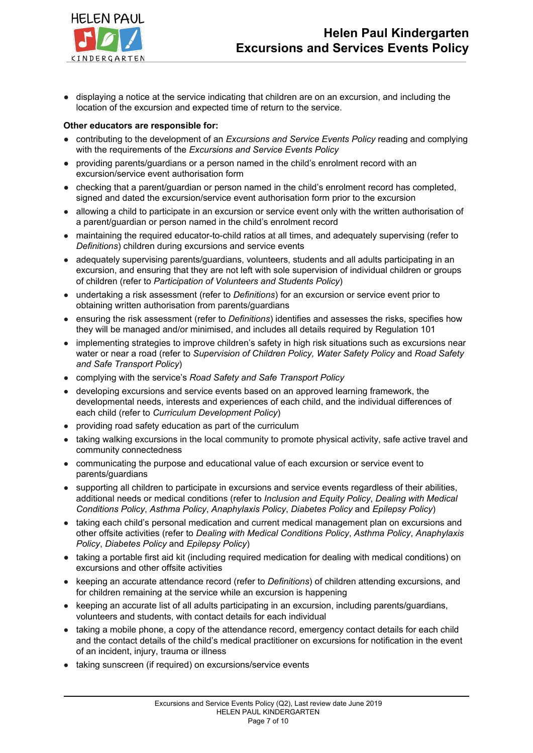

*●* displaying a notice at the service indicating that children are on an excursion, and including the location of the excursion and expected time of return to the service.

### **Other educators are responsible for:**

- **●** contributing to the development of an *Excursions and Service Events Policy* reading and complying with the requirements of the *Excursions and Service Events Policy*
- **●** providing parents/guardians or a person named in the child's enrolment record with an excursion/service event authorisation form
- **●** checking that a parent/guardian or person named in the child's enrolment record has completed, signed and dated the excursion/service event authorisation form prior to the excursion
- allowing a child to participate in an excursion or service event only with the written authorisation of a parent/guardian or person named in the child's enrolment record
- maintaining the required educator-to-child ratios at all times, and adequately supervising (refer to *Definitions*) children during excursions and service events
- adequately supervising parents/guardians, volunteers, students and all adults participating in an excursion, and ensuring that they are not left with sole supervision of individual children or groups of children (refer to *Participation of Volunteers and Students Policy*)
- undertaking a risk assessment (refer to *Definitions*) for an excursion or service event prior to obtaining written authorisation from parents/guardians
- ensuring the risk assessment (refer to *Definitions*) identifies and assesses the risks, specifies how they will be managed and/or minimised, and includes all details required by Regulation 101
- implementing strategies to improve children's safety in high risk situations such as excursions near water or near a road (refer to *Supervision of Children Policy, Water Safety Policy* and *Road Safety and Safe Transport Policy*)
- complying with the service's *Road Safety and Safe Transport Policy*
- developing excursions and service events based on an approved learning framework, the developmental needs, interests and experiences of each child, and the individual differences of each child (refer to *Curriculum Development Policy*)
- providing road safety education as part of the curriculum
- taking walking excursions in the local community to promote physical activity, safe active travel and community connectedness
- communicating the purpose and educational value of each excursion or service event to parents/guardians
- supporting all children to participate in excursions and service events regardless of their abilities, additional needs or medical conditions (refer to *Inclusion and Equity Policy*, *Dealing with Medical Conditions Policy*, *Asthma Policy*, *Anaphylaxis Policy*, *Diabetes Policy* and *Epilepsy Policy*)
- taking each child's personal medication and current medical management plan on excursions and other offsite activities (refer to *Dealing with Medical Conditions Policy*, *Asthma Policy*, *Anaphylaxis Policy*, *Diabetes Policy* and *Epilepsy Policy*)
- taking a portable first aid kit (including required medication for dealing with medical conditions) on excursions and other offsite activities
- keeping an accurate attendance record (refer to *Definitions*) of children attending excursions, and for children remaining at the service while an excursion is happening
- keeping an accurate list of all adults participating in an excursion, including parents/guardians, volunteers and students, with contact details for each individual
- taking a mobile phone, a copy of the attendance record, emergency contact details for each child and the contact details of the child's medical practitioner on excursions for notification in the event of an incident, injury, trauma or illness
- taking sunscreen (if required) on excursions/service events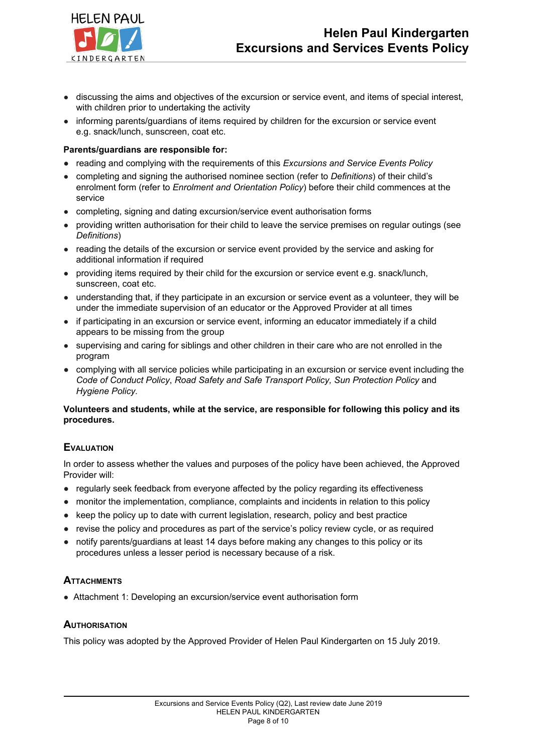

- discussing the aims and objectives of the excursion or service event, and items of special interest, with children prior to undertaking the activity
- informing parents/guardians of items required by children for the excursion or service event e.g. snack/lunch, sunscreen, coat etc.

### **Parents/guardians are responsible for:**

- **●** reading and complying with the requirements of this *Excursions and Service Events Policy*
- completing and signing the authorised nominee section (refer to *Definitions*) of their child's enrolment form (refer to *Enrolment and Orientation Policy*) before their child commences at the service
- completing, signing and dating excursion/service event authorisation forms
- providing written authorisation for their child to leave the service premises on regular outings (see *Definitions*)
- reading the details of the excursion or service event provided by the service and asking for additional information if required
- providing items required by their child for the excursion or service event e.g. snack/lunch, sunscreen, coat etc.
- understanding that, if they participate in an excursion or service event as a volunteer, they will be under the immediate supervision of an educator or the Approved Provider at all times
- if participating in an excursion or service event, informing an educator immediately if a child appears to be missing from the group
- supervising and caring for siblings and other children in their care who are not enrolled in the program
- *●* complying with all service policies while participating in an excursion or service event including the *Code of Conduct Policy*, *Road Safety and Safe Transport Policy, Sun Protection Policy* and *Hygiene Policy.*

## **Volunteers and students, while at the service, are responsible for following this policy and its procedures.**

## **EVALUATION**

In order to assess whether the values and purposes of the policy have been achieved, the Approved Provider will:

- regularly seek feedback from everyone affected by the policy regarding its effectiveness
- monitor the implementation, compliance, complaints and incidents in relation to this policy
- keep the policy up to date with current legislation, research, policy and best practice
- revise the policy and procedures as part of the service's policy review cycle, or as required
- **●** notify parents/guardians at least 14 days before making any changes to this policy or its procedures unless a lesser period is necessary because of a risk.

## **ATTACHMENTS**

● Attachment 1: Developing an excursion/service event authorisation form

## **AUTHORISATION**

This policy was adopted by the Approved Provider of Helen Paul Kindergarten on 15 July 2019.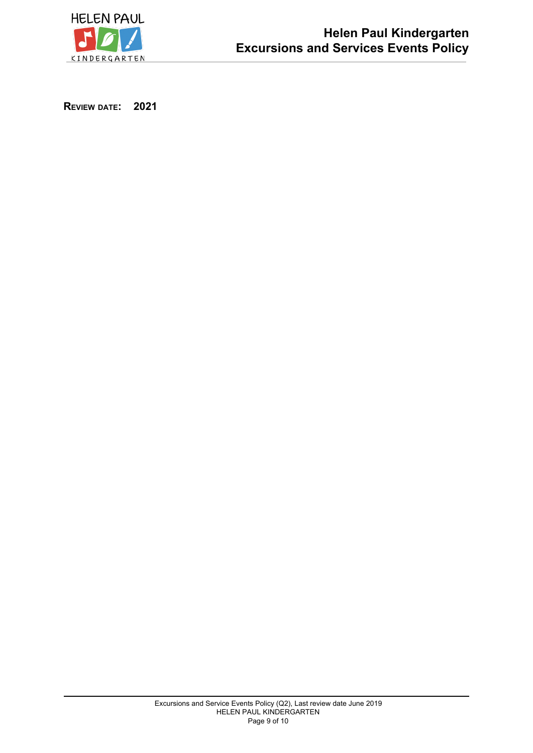

**REVIEW DATE: 2021**